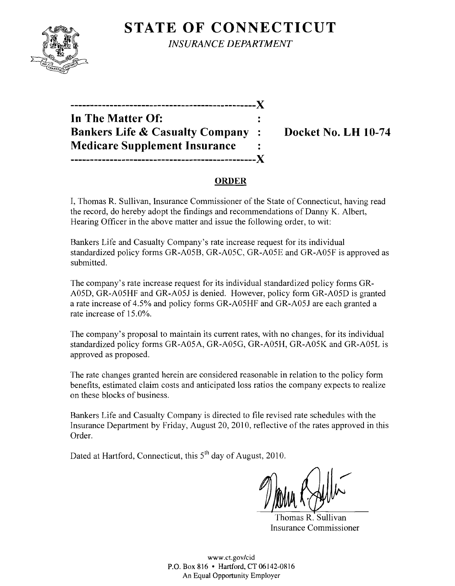

**STATE OF CONNECTICUT** *INSURANCE DEPARTMENT* 

| In The Matter Of:                          |  |
|--------------------------------------------|--|
| <b>Bankers Life &amp; Casualty Company</b> |  |
| <b>Medicare Supplement Insurance</b>       |  |
|                                            |  |

# **Bocket No. LH 10-74**

#### **ORDER**

I, Thomas R. Sullivan, Insurance Commissioner of the State of Connecticut, having read the record, do hereby adopt the findings and recommendations of Danny K. Albert, Hearing Officer in the above matter and issue the following order, to wit:

Bankers Life and Casualty Company's rate increase request for its individual standardized policy forms GR-A05B, GR-A05C, GR-A05E and GR-A05F is approved as submitted.

The company's rate increase request for its individual standardized policy forms GR-A05D, GR-A05HF and GR-A051 is denied. However, policy form GR-A05D is granted a rate increase of 4.5% and policy forms GR-A05HF and GR-A051 are each granted a rate increase of 15.0%.

The company's proposal to maintain its current rates, with no changes, for its individual standardized policy forms GR-A05A, GR-A05G, GR-A05H, GR-A05K and GR-A05L is approved as proposed.

The rate changes granted herein are considered reasonable in relation to the policy form benefits, estimated claim costs and anticipated loss ratios the company expects to realize on these blocks of business.

Bankers Life and Casualty Company is directed to file revised rate schedules with the Insurance Department by Friday, August 20, 2010, reflective of the rates approved in this Order.

Dated at Hartford, Connecticut, this 5<sup>th</sup> day of August, 2010.

Thomas R. Sullivan Insurance Commissioner

www.ct.gov/cid P.O. Box 8]6 • Hartford, CT 06142-0816 An Equal Opportunity Employer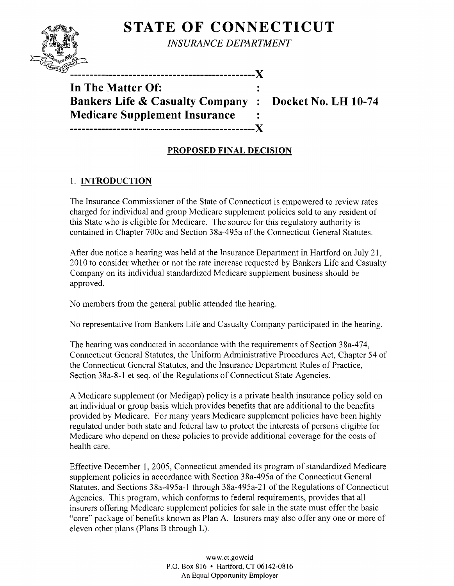

**STATE OF CONNECTICUT** 

*INSURANCE DEPARTMENT* 

**-----------------------------------------------)(** 

**In The Matter Of:**  Bankers Life & Casualty Company : Docket No. LH 10-74 **Medicare Supplement Insurance -----------------------------------------------)(** 

## **PROPOSED FINAL DECISION**

### 1. **INTRODUCTION**

The Insurance Commissioner of the State of Connecticut is empowered to review rates charged for individual and group Medicare supplement policies sold to any resident of this State who is eligible for Medicare. The source for this regulatory authority is contained in Chapter 700c and Section 38a-495a of the Connecticut General Statutes.

After due notice a hearing was held at the Insurance Department in Hartford on July 21, 2010 to consider whether or not the rate increase requested by Bankers Life and Casualty Company on its individual standardized Medicare supplement business should be approved.

No members from the general public attended the hearing.

No representative from Bankers Life and Casualty Company participated in the hearing.

The hearing was conducted in accordance with the requirements of Section 38a-474, Connecticut General Statutes, the Uniform Administrative Procedures Act, Chapter 54 of the Connecticut General Statutes, and the Insurance Department Rules of Practice, Section 38a-8-l et seq. of the Regulations of Connecticut State Agencies.

A Medicare supplement (or Medigap) policy is a private health insurance policy sold on an individual or group basis which provides benefits that are additional to the benefits provided by Medicare. For many years Medicare supplement policies have been highly regulated under both state and federal law to protect the interests of persons eligible for Medicare who depend on these policies to provide additional coverage for the costs of health care.

Effective December 1, 2005, Connecticut amended its program of standardized Medicare supplement policies in accordance with Section 38a-495a of the Connecticut General Statutes, and Sections 38a-495a-l through 38a-495a-2l of the Regulations of Connecticut Agencies. This program, which conforms to federal requirements, provides that all insurers offering Medicare supplement policies for sale in the state must offer the basic "core" package of benefits known as Plan A. Insurers may also offer anyone or more of eleven other plans (Plans B through L).

> www.ct.gov/cid P.O. Box 816 • Hartford. CT 06142-0816 An Equal Opportunity Employer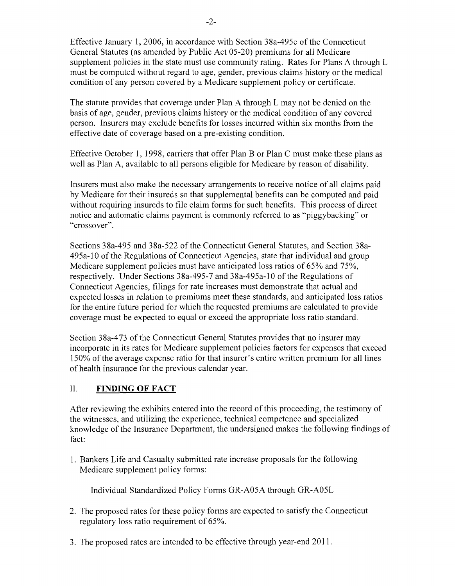Effective January 1,2006, in accordance with Section 38a-495c of the Connecticut General Statutes (as amended by Public Act 05-20) premiums for all Medicare supplement policies in the state must use community rating. Rates for Plans A through L must be computed without regard to age, gender, previous claims history or the medical condition of any person covered by a Medicare supplement policy or certificate.

The statute provides that coverage under Plan A through L may not be denied on the basis of age, gender, previous claims history or the medical condition of any covered person. Insurers may exclude benefits for losses incurred within six months from the effective date of coverage based on a pre-existing condition.

Effective October 1, 1998, carriers that offer Plan B or Plan C must make these plans as well as Plan A, available to all persons eligible for Medicare by reason of disability.

Insurers must also make the necessary arrangements to receive notice of all claims paid by Medicare for their insureds so that supplemental benefits can be computed and paid without requiring insureds to file claim forms for such benefits. This process of direct notice and automatic claims payment is commonly referred to as "piggybacking" or "crossover".

Sections 38a-495 and 38a-522 of the Connecticut General Statutes, and Section 38a-495a-l0 ofthe Regulations of Connecticut Agencies, state that individual and group Medicare supplement policies must have anticipated loss ratios of 65% and 75%, respectively. Under Sections 38a-495-7 and 38a-495a-10 of the Regulations of Connecticut Agencies, filings for rate increases must demonstrate that actual and expected losses in relation to premiums meet these standards, and anticipated loss ratios for the entire future period for which the requested premiums are calculated to provide coverage must be expected to equal or exceed the appropriate loss ratio standard.

Section 38a-473 of the Connecticut General Statutes provides that no insurer may incorporate in its rates for Medicare supplement policies factors for expenses that exceed 150% of the average expense ratio for that insurer's entire written premium for all lines of health insurance for the previous calendar year.

### **II. FINDING OF FACT**

After reviewing the exhibits entered into the record of this proceeding, the testimony of the witnesses, and utilizing the experience, technical competence and specialized knowledge of the Insurance Department, the undersigned makes the following findings of fact:

1. Bankers Life and Casualty submitted rate increase proposals for the following Medicare supplement policy forms:

Individual Standardized Policy Forms GR-A05A through GR-A05L

- 2. The proposed rates for these policy forms are expected to satisfy the Connecticut regulatory loss ratio requirement of 65%.
- 3. The proposed rates are intended to be effective through year-end 2011.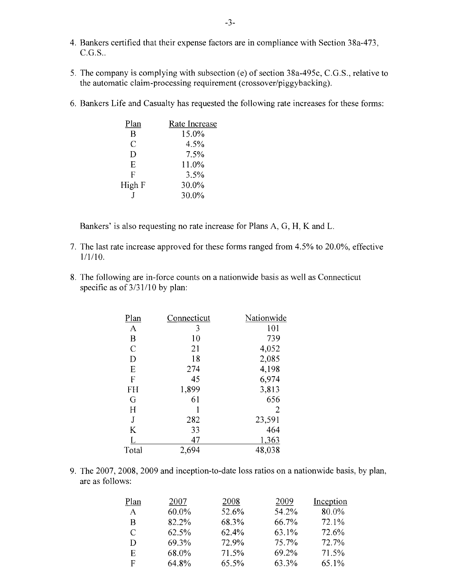- 4. Bankers certified that their expense factors are in compliance with Section 38a-473,  $C.G.S.$ .
- 5. The company is complying with subsection (e) of section 38a-495c, C.G.S., relative to the automatic claim-processing requirement (crossover/piggybacking).
- 6. Bankers Life and Casualty has requested the following rate increases for these forms:

| Plan   | Rate Increase |
|--------|---------------|
| B      | 15.0%         |
| C      | 4.5%          |
| D      | 7.5%          |
| E      | 11.0%         |
| F      | 3.5%          |
| High F | 30.0%         |
|        | 30.0%         |

Bankers' is also requesting no rate increase for Plans A, G, H, K and L.

- 7. The last rate increase approved for these forms ranged from 4.5% to 20.0%, effective 1/1/10.
- 8. The following are in-force counts on a nationwide basis as well as Connecticut specific as of  $3/31/10$  by plan:

| Connecticut | Nationwide |
|-------------|------------|
| 3           | 101        |
| 10          | 739        |
| 21          | 4,052      |
| 18          | 2,085      |
| 274         | 4,198      |
| 45          | 6,974      |
| 1,899       | 3,813      |
| 61          | 656        |
|             | 2          |
| 282         | 23,591     |
| 33          | 464        |
| 47          | 1,363      |
| 2,694       | 48,038     |
|             |            |

9. The 2007, 2008, 2009 and inception-to-date loss ratios on a nationwide basis, by plan, are as follows:

| Plan | 2007  | 2008  | 2009  | Inception |
|------|-------|-------|-------|-----------|
| A    | 60.0% | 52.6% | 54.2% | 80.0%     |
| B    | 82.2% | 68.3% | 66.7% | 72.1%     |
| C    | 62.5% | 62.4% | 63.1% | 72.6%     |
| D    | 69.3% | 72.9% | 75.7% | 72.7%     |
| E    | 68.0% | 71.5% | 69.2% | 71.5%     |
| F    | 64.8% | 65.5% | 63.3% | 65.1%     |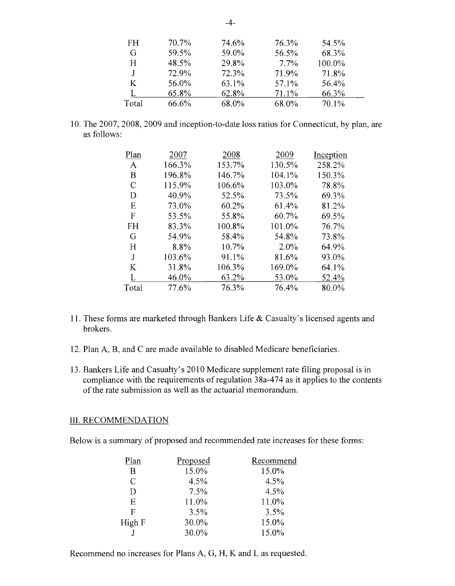| FH    | 70.7% | 74.6% | 76.3%   | 54.5%    |
|-------|-------|-------|---------|----------|
| G     | 59.5% | 59.0% | 56.5%   | 68.3%    |
| H     | 48.5% | 29.8% | $7.7\%$ | 100.0%   |
|       | 72.9% | 72.3% | 71.9%   | 71.8%    |
| K     | 56.0% | 63.1% | 57.1%   | 56.4%    |
|       | 65.8% | 62.8% | 71.1%   | 66.3%    |
| Total | 66.6% | 68.0% | 68.0%   | $70.1\%$ |

10. The 2007, 2008, 2009 and inception-to-date loss ratios for Connecticut, by plan, are as follows:

| Plan         | 2007   | 2008   | 2009    | Inception |
|--------------|--------|--------|---------|-----------|
| A            | 166.3% | 153.7% | 130.5%  | 258.2%    |
| Β            | 196.8% | 146.7% | 104.1%  | 150.3%    |
| C            | 115.9% | 106.6% | 103.0%  | 78.8%     |
| D            | 40.9%  | 52.5%  | 73.5%   | 69.3%     |
| Ε            | 73.0%  | 60.2%  | 61.4%   | 81.2%     |
| $\mathbf{F}$ | 53.5%  | 55.8%  | 60.7%   | 69.5%     |
| <b>FH</b>    | 83.3%  | 100.8% | 101.0%  | 76.7%     |
| G            | 54.9%  | 58.4%  | 54.8%   | 73.8%     |
| H            | 8.8%   | 10.7%  | $2.0\%$ | 64.9%     |
| J            | 103.6% | 91.1%  | 81.6%   | 93.0%     |
| K            | 31.8%  | 106.3% | 169.0%  | 64.1%     |
| L            | 46.0%  | 63.2%  | 53.0%   | 52.4%     |
| Total        | 77.6%  | 76.3%  | 76.4%   | 80.0%     |
|              |        |        |         |           |

- 11. These forms are marketed through Bankers Life & Casualty's licensed agents and brokers.
- 12. Plan A, B, and C are made available to disabled Medicare beneficiaries.
- 13. Bankers Life and Casualty's 2010 Medicare supplement rate filing proposal is in compliance with the requirements of regulation  $38a-474$  as it applies to the contents of the rate submission as well as the actuarial memorandum.

#### **III.** RECOMMENDATION

Below is a summary of proposed and recommended rate increases for these forms:

| Plan          | Proposed | Recommend |
|---------------|----------|-----------|
| B             | 15.0%    | 15.0%     |
| $\mathcal{C}$ | 4.5%     | 4.5%      |
| D             | 7.5%     | 4.5%      |
| E             | 11.0%    | 11.0%     |
| F             | 3.5%     | 3.5%      |
| High F        | 30.0%    | 15.0%     |
|               | 30.0%    | 15.0%     |
|               |          |           |

Recommend no increases for Plans A, G, H, K and L as requested.

 $-4-$